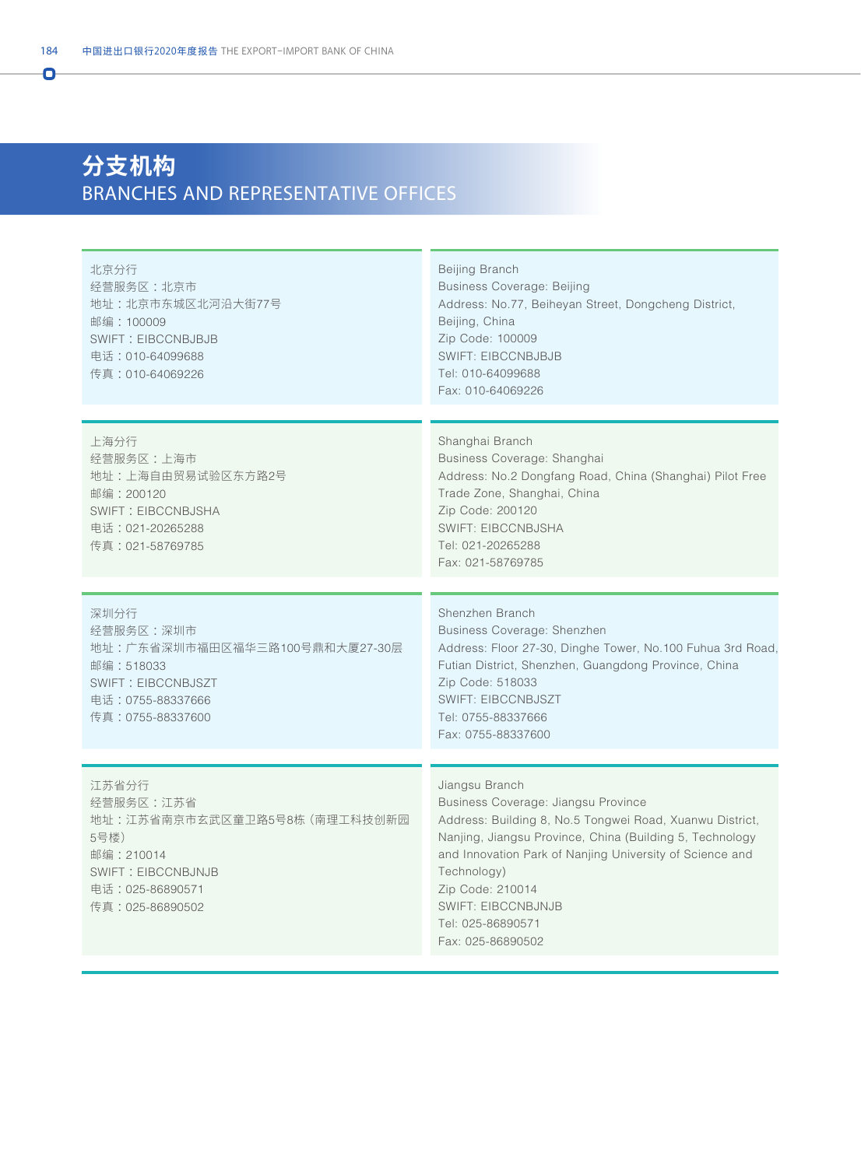## **分支机构** BRANCHES AND REPRESENTATIVE OFFICES

| 北京分行<br>经营服务区:北京市<br>地址: 北京市东城区北河沿大街77号<br>邮编: 100009<br><b>SWIFT: EIBCCNBJBJB</b><br>电话: 010-64099688<br>传真:010-64069226                    | Beijing Branch<br><b>Business Coverage: Beijing</b><br>Address: No.77, Beiheyan Street, Dongcheng District,<br>Beijing, China<br>Zip Code: 100009<br><b>SWIFT: EIBCCNBJBJB</b><br>Tel: 010-64099688<br>Fax: 010-64069226                                                                                                                            |
|----------------------------------------------------------------------------------------------------------------------------------------------|-----------------------------------------------------------------------------------------------------------------------------------------------------------------------------------------------------------------------------------------------------------------------------------------------------------------------------------------------------|
| 上海分行<br>经营服务区:上海市<br>地址:上海自由贸易试验区东方路2号<br>邮编:200120<br>SWIFT: EIBCCNBJSHA<br>电话: 021-20265288<br>传真:021-58769785                             | Shanghai Branch<br>Business Coverage: Shanghai<br>Address: No.2 Dongfang Road, China (Shanghai) Pilot Free<br>Trade Zone, Shanghai, China<br>Zip Code: 200120<br><b>SWIFT: EIBCCNBJSHA</b><br>Tel: 021-20265288<br>Fax: 021-58769785                                                                                                                |
| 深圳分行<br>经营服务区:深圳市<br>地址:广东省深圳市福田区福华三路100号鼎和大厦27-30层<br>邮编:518033<br><b>SWIFT: EIBCCNBJSZT</b><br>电话:0755-88337666<br>传真:0755-88337600        | Shenzhen Branch<br><b>Business Coverage: Shenzhen</b><br>Address: Floor 27-30, Dinghe Tower, No.100 Fuhua 3rd Road,<br>Futian District, Shenzhen, Guangdong Province, China<br>Zip Code: 518033<br><b>SWIFT: EIBCCNBJSZT</b><br>Tel: 0755-88337666<br>Fax: 0755-88337600                                                                            |
| 江苏省分行<br>经营服务区:江苏省<br>地址:江苏省南京市玄武区童卫路5号8栋 (南理工科技创新园<br>5号楼)<br>邮编:210014<br><b>SWIFT: EIBCCNBJNJB</b><br>电话: 025-86890571<br>传真:025-86890502 | Jiangsu Branch<br>Business Coverage: Jiangsu Province<br>Address: Building 8, No.5 Tongwei Road, Xuanwu District,<br>Nanjing, Jiangsu Province, China (Building 5, Technology<br>and Innovation Park of Nanjing University of Science and<br>Technology)<br>Zip Code: 210014<br><b>SWIFT: EIBCCNBJNJB</b><br>Tel: 025-86890571<br>Fax: 025-86890502 |

Ō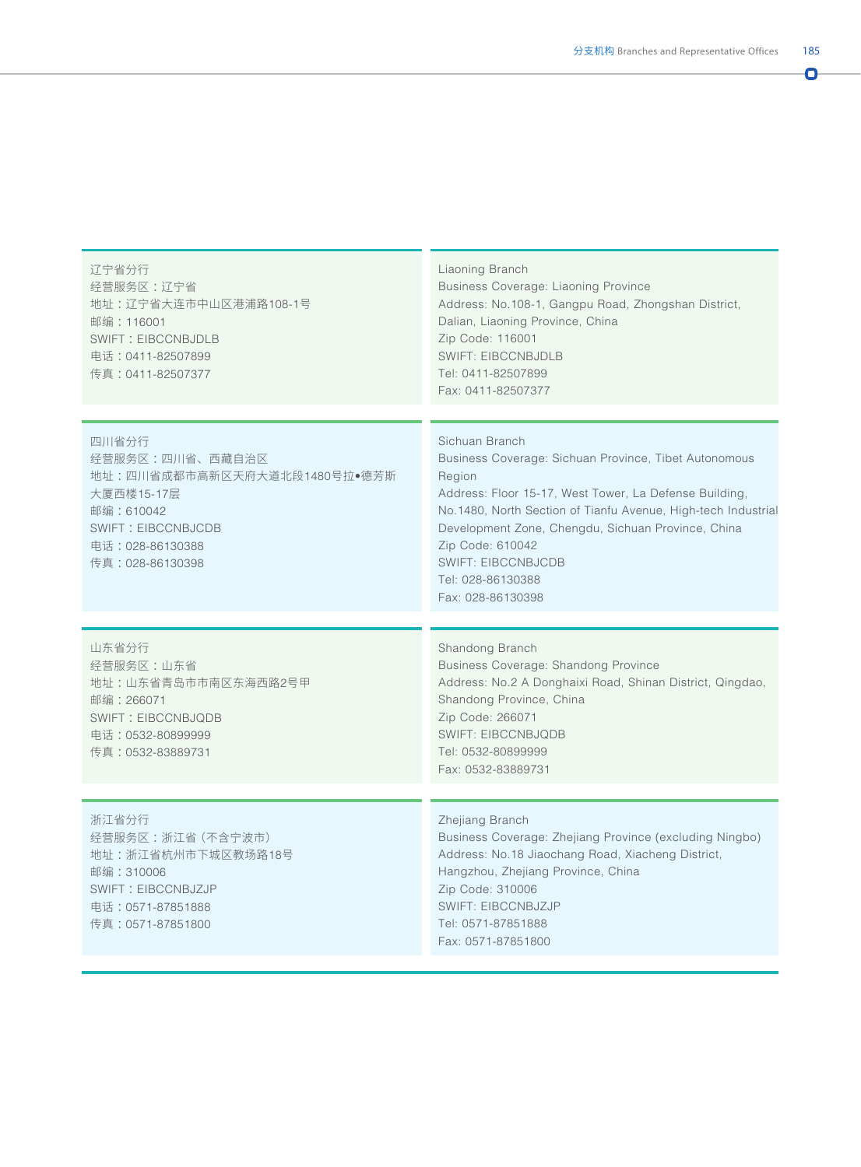| $\sim$<br>$\sim$ |  |
|------------------|--|
|                  |  |
|                  |  |
|                  |  |

| 辽宁省分行<br>经营服务区:辽宁省<br>地址:辽宁省大连市中山区港浦路108-1号<br>邮编: 116001<br><b>SWIFT: EIBCCNBJDLB</b><br>电话:0411-82507899<br>传真:0411-82507377                          | Liaoning Branch<br>Business Coverage: Liaoning Province<br>Address: No.108-1, Gangpu Road, Zhongshan District,<br>Dalian, Liaoning Province, China<br>Zip Code: 116001<br><b>SWIFT: EIBCCNBJDLB</b><br>Tel: 0411-82507899<br>Fax: 0411-82507377                                                                                                               |
|---------------------------------------------------------------------------------------------------------------------------------------------------------|---------------------------------------------------------------------------------------------------------------------------------------------------------------------------------------------------------------------------------------------------------------------------------------------------------------------------------------------------------------|
| 四川省分行<br>经营服务区:四川省、西藏自治区<br>地址:四川省成都市高新区天府大道北段1480号拉●德芳斯<br>大厦西楼15-17层<br>邮编: 610042<br><b>SWIFT: EIBCCNBJCDB</b><br>电话:028-86130388<br>传真:028-86130398 | Sichuan Branch<br>Business Coverage: Sichuan Province, Tibet Autonomous<br>Region<br>Address: Floor 15-17, West Tower, La Defense Building,<br>No.1480, North Section of Tianfu Avenue, High-tech Industrial<br>Development Zone, Chengdu, Sichuan Province, China<br>Zip Code: 610042<br><b>SWIFT: EIBCCNBJCDB</b><br>Tel: 028-86130388<br>Fax: 028-86130398 |
| 山东省分行<br>经营服务区:山东省<br>地址:山东省青岛市市南区东海西路2号甲<br>邮编: 266071<br><b>SWIFT: EIBCCNBJQDB</b><br>电话:0532-80899999<br>传真:0532-83889731                            | Shandong Branch<br><b>Business Coverage: Shandong Province</b><br>Address: No.2 A Donghaixi Road, Shinan District, Qingdao,<br>Shandong Province, China<br>Zip Code: 266071<br><b>SWIFT: EIBCCNBJQDB</b><br>Tel: 0532-80899999<br>Fax: 0532-83889731                                                                                                          |
| 浙江省分行<br>经营服务区:浙江省 (不含宁波市)<br>地址:浙江省杭州市下城区教场路18号<br>邮编: 310006<br><b>SWIFT: EIBCCNBJZJP</b><br>电话: 0571-87851888<br>传真:0571-87851800                    | Zhejiang Branch<br>Business Coverage: Zhejiang Province (excluding Ningbo)<br>Address: No.18 Jiaochang Road, Xiacheng District,<br>Hangzhou, Zhejiang Province, China<br>Zip Code: 310006<br><b>SWIFT: EIBCCNBJZJP</b><br>Tel: 0571-87851888<br>Fax: 0571-87851800                                                                                            |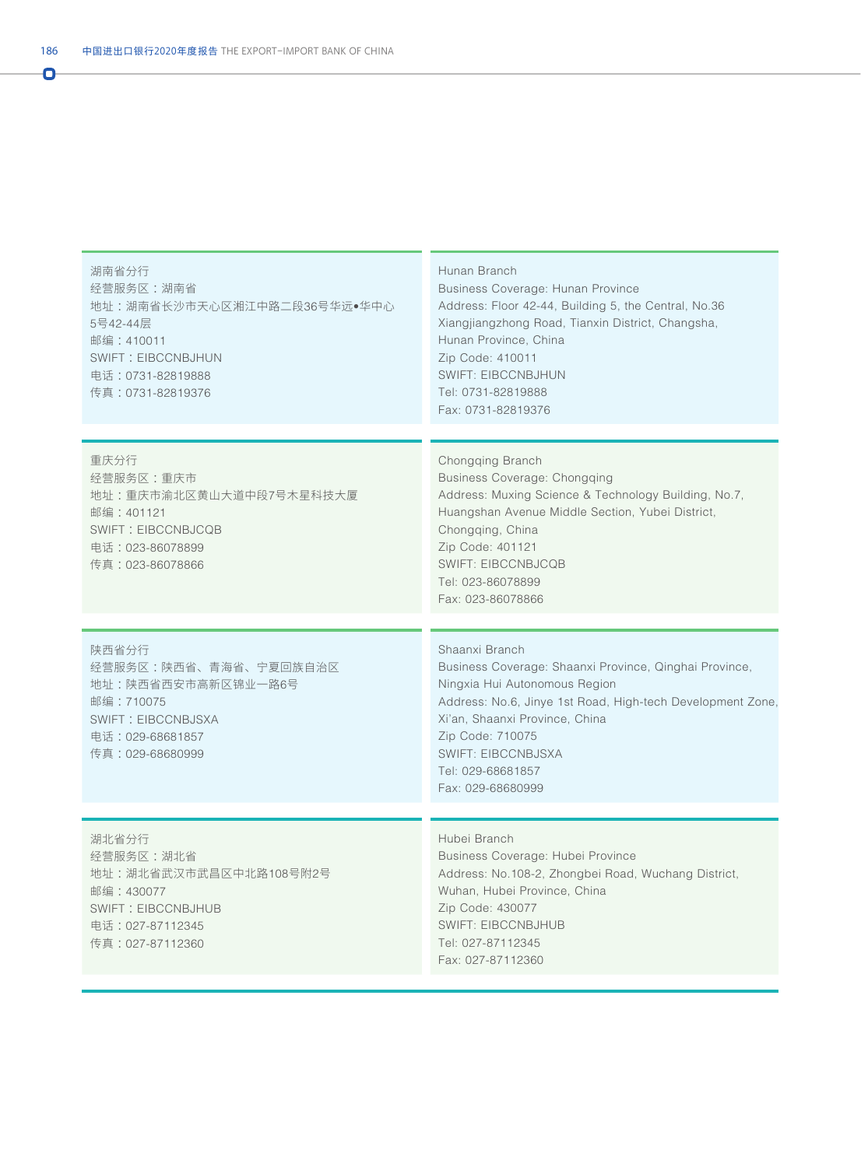| 湖南省分行<br>经营服务区:湖南省<br>地址:湖南省长沙市天心区湘江中路二段36号华远●华中心<br>5号42-44层<br>邮编: 410011<br><b>SWIFT: EIBCCNBJHUN</b><br>电话: 0731-82819888<br>传真: 0731-82819376 | Hunan Branch<br>Business Coverage: Hunan Province<br>Address: Floor 42-44, Building 5, the Central, No.36<br>Xiangjiangzhong Road, Tianxin District, Changsha,<br>Hunan Province, China<br>Zip Code: 410011<br><b>SWIFT: EIBCCNBJHUN</b><br>Tel: 0731-82819888<br>Fax: 0731-82819376                 |
|----------------------------------------------------------------------------------------------------------------------------------------------------|------------------------------------------------------------------------------------------------------------------------------------------------------------------------------------------------------------------------------------------------------------------------------------------------------|
|                                                                                                                                                    |                                                                                                                                                                                                                                                                                                      |
| 重庆分行<br>经营服务区:重庆市<br>地址:重庆市渝北区黄山大道中段7号木星科技大厦<br>邮编: 401121<br><b>SWIFT: EIBCCNBJCQB</b><br>电话: 023-86078899<br>传真:023-86078866                     | Chongqing Branch<br>Business Coverage: Chongging<br>Address: Muxing Science & Technology Building, No.7,<br>Huangshan Avenue Middle Section, Yubei District,<br>Chongqing, China<br>Zip Code: 401121<br><b>SWIFT: EIBCCNBJCQB</b><br>Tel: 023-86078899<br>Fax: 023-86078866                          |
|                                                                                                                                                    |                                                                                                                                                                                                                                                                                                      |
| 陕西省分行<br>经营服务区:陕西省、青海省、宁夏回族自治区<br>地址:陕西省西安市高新区锦业一路6号<br>邮编: 710075<br>SWIFT: EIBCCNBJSXA<br>电话: 029-68681857<br>传真: 029-68680999                   | Shaanxi Branch<br>Business Coverage: Shaanxi Province, Qinghai Province,<br>Ningxia Hui Autonomous Region<br>Address: No.6, Jinye 1st Road, High-tech Development Zone,<br>Xi'an, Shaanxi Province, China<br>Zip Code: 710075<br><b>SWIFT: EIBCCNBJSXA</b><br>Tel: 029-68681857<br>Fax: 029-68680999 |
|                                                                                                                                                    |                                                                                                                                                                                                                                                                                                      |
| 湖北省分行<br>经营服务区:湖北省<br>地址:湖北省武汉市武昌区中北路108号附2号<br>邮编: 430077<br><b>SWIFT: EIBCCNBJHUB</b><br>电话:027-87112345<br>传真:027-87112360                      | Hubei Branch<br>Business Coverage: Hubei Province<br>Address: No.108-2, Zhongbei Road, Wuchang District,<br>Wuhan, Hubei Province, China<br>Zip Code: 430077<br><b>SWIFT: EIBCCNBJHUB</b><br>Tel: 027-87112345<br>Fax: 027-87112360                                                                  |

Ō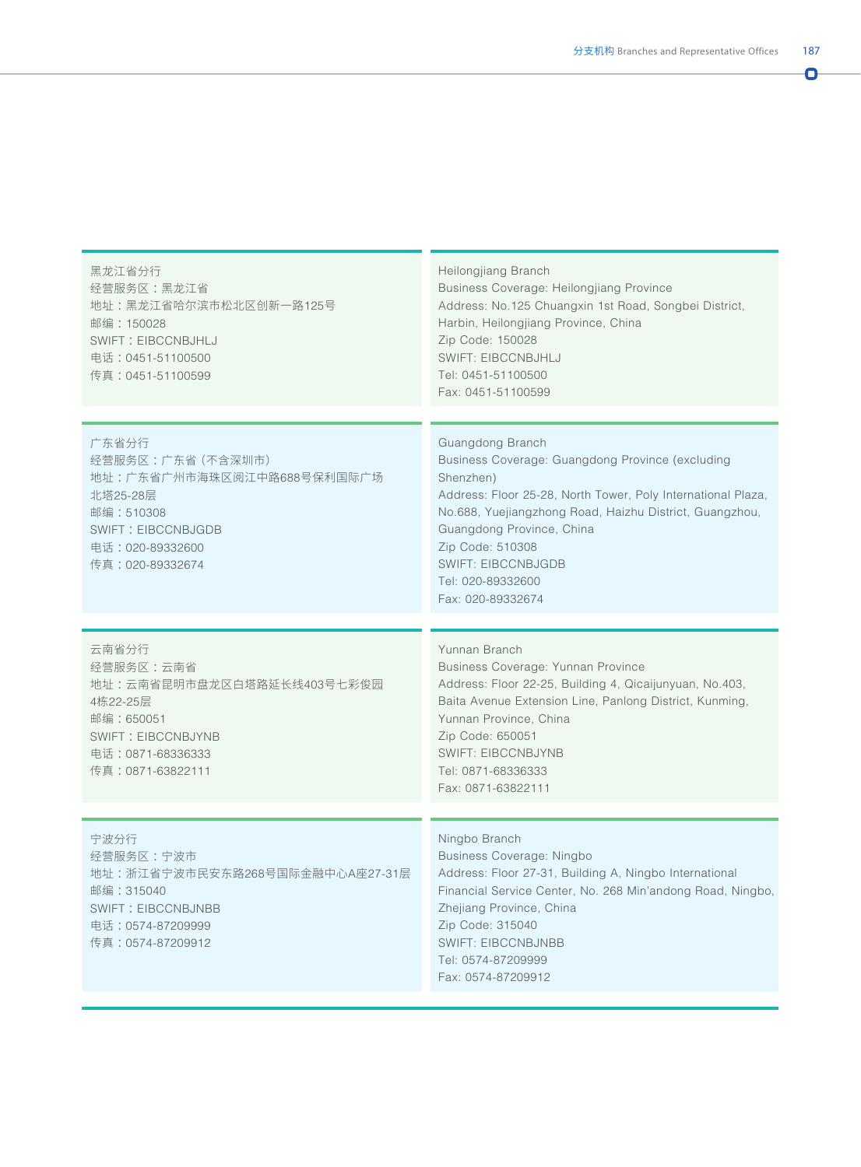| 黑龙江省分行<br>经营服务区:黑龙江省<br>地址:黑龙江省哈尔滨市松北区创新一路125号<br>邮编:150028<br>SWIFT: EIBCCNBJHLJ<br>电话:0451-51100500<br>传真: 0451-51100599                             | Heilongjiang Branch<br>Business Coverage: Heilongjiang Province<br>Address: No.125 Chuangxin 1st Road, Songbei District,<br>Harbin, Heilongjiang Province, China<br>Zip Code: 150028<br><b>SWIFT: EIBCCNBJHLJ</b><br>Tel: 0451-51100500<br>Fax: 0451-51100599                                                                        |
|--------------------------------------------------------------------------------------------------------------------------------------------------------|--------------------------------------------------------------------------------------------------------------------------------------------------------------------------------------------------------------------------------------------------------------------------------------------------------------------------------------|
| 广东省分行<br>经营服务区:广东省 (不含深圳市)<br>地址:广东省广州市海珠区阅江中路688号保利国际广场<br>北塔25-28层<br>邮编: 510308<br><b>SWIFT: EIBCCNBJGDB</b><br>电话: 020-89332600<br>传真:020-89332674 | Guangdong Branch<br>Business Coverage: Guangdong Province (excluding<br>Shenzhen)<br>Address: Floor 25-28, North Tower, Poly International Plaza,<br>No.688, Yuejiangzhong Road, Haizhu District, Guangzhou,<br>Guangdong Province, China<br>Zip Code: 510308<br><b>SWIFT: EIBCCNBJGDB</b><br>Tel: 020-89332600<br>Fax: 020-89332674 |
| 云南省分行<br>经营服务区:云南省<br>地址:云南省昆明市盘龙区白塔路延长线403号七彩俊园<br>4栋22-25层<br>邮编: 650051<br>SWIFT: EIBCCNBJYNB<br>电话: 0871-68336333<br>传真:0871-63822111              | Yunnan Branch<br>Business Coverage: Yunnan Province<br>Address: Floor 22-25, Building 4, Qicaijunyuan, No.403,<br>Baita Avenue Extension Line, Panlong District, Kunming,<br>Yunnan Province, China<br>Zip Code: 650051<br><b>SWIFT: EIBCCNBJYNB</b><br>Tel: 0871-68336333<br>Fax: 0871-63822111                                     |
| 宁波分行<br>经营服务区:宁波市<br>地址: 浙江省宁波市民安东路268号国际金融中心A座27-31层<br>邮编: 315040<br><b>SWIFT: EIBCCNBJNBB</b><br>电话: 0574-87209999<br>传真:0574-87209912              | Ningbo Branch<br><b>Business Coverage: Ningbo</b><br>Address: Floor 27-31, Building A, Ningbo International<br>Financial Service Center, No. 268 Min'andong Road, Ningbo,<br>Zhejiang Province, China<br>Zip Code: 315040<br><b>SWIFT: EIBCCNBJNBB</b><br>Tel: 0574-87209999<br>Fax: 0574-87209912                                   |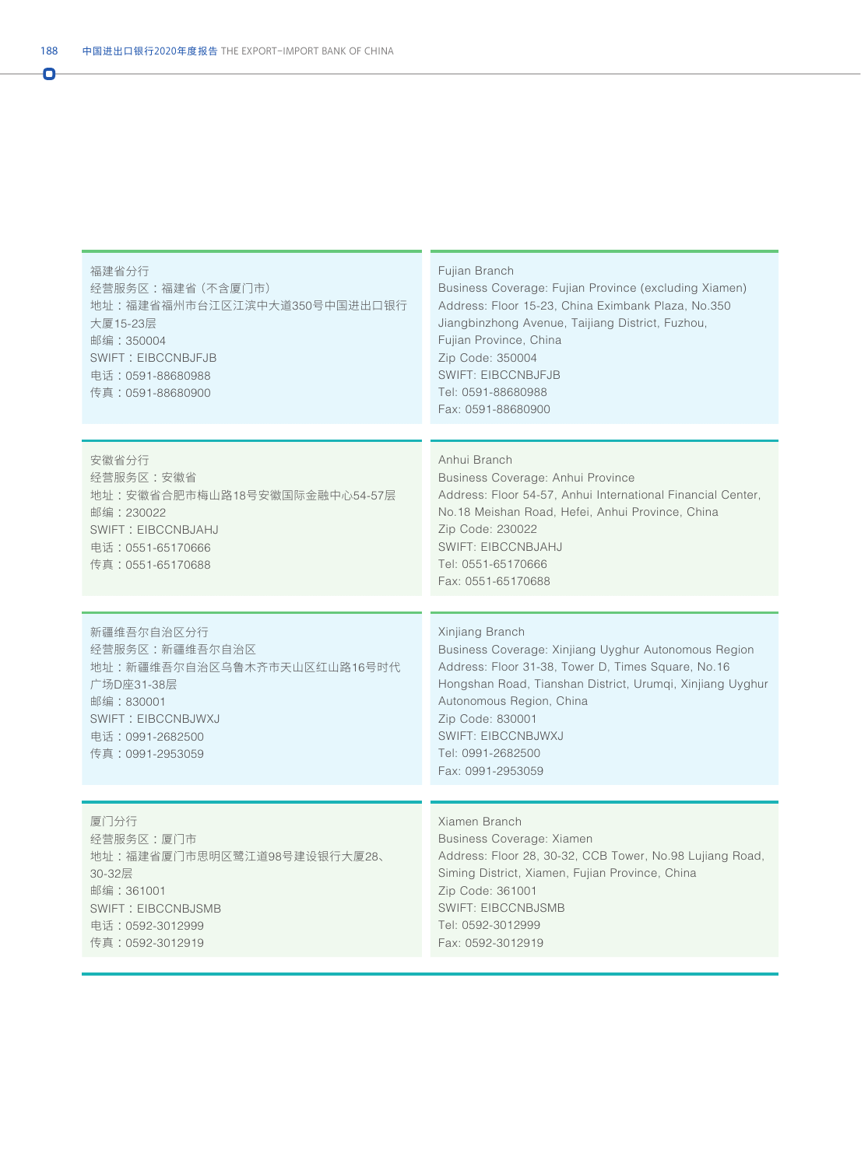| 福建省分行<br>经营服务区:福建省 (不含厦门市)<br>地址:福建省福州市台江区江滨中大道350号中国进出口银行<br>大厦15-23层<br>邮编: 350004<br><b>SWIFT: EIBCCNBJFJB</b><br>电话: 0591-88680988<br>传真:0591-88680900  | Fujian Branch<br>Business Coverage: Fujian Province (excluding Xiamen)<br>Address: Floor 15-23, China Eximbank Plaza, No.350<br>Jiangbinzhong Avenue, Taijiang District, Fuzhou,<br>Fujian Province, China<br>Zip Code: 350004<br><b>SWIFT: EIBCCNBJFJB</b><br>Tel: 0591-88680988<br>Fax: 0591-88680900           |
|-------------------------------------------------------------------------------------------------------------------------------------------------------------|-------------------------------------------------------------------------------------------------------------------------------------------------------------------------------------------------------------------------------------------------------------------------------------------------------------------|
| 安徽省分行<br>经营服务区:安徽省<br>地址:安徽省合肥市梅山路18号安徽国际金融中心54-57层<br>邮编: 230022<br>SWIFT: EIBCCNBJAHJ<br>电话: 0551-65170666<br>传真:0551-65170688                            | Anhui Branch<br>Business Coverage: Anhui Province<br>Address: Floor 54-57, Anhui International Financial Center,<br>No.18 Meishan Road, Hefei, Anhui Province, China<br>Zip Code: 230022<br><b>SWIFT: EIBCCNBJAHJ</b><br>Tel: 0551-65170666<br>Fax: 0551-65170688                                                 |
| 新疆维吾尔自治区分行<br>经营服务区:新疆维吾尔自治区<br>地址:新疆维吾尔自治区乌鲁木齐市天山区红山路16号时代<br>广场D座31-38层<br>邮编: 830001<br><b>SWIFT: EIBCCNBJWXJ</b><br>电话: 0991-2682500<br>传真:0991-2953059 | Xinjiang Branch<br>Business Coverage: Xinjiang Uyghur Autonomous Region<br>Address: Floor 31-38, Tower D, Times Square, No.16<br>Hongshan Road, Tianshan District, Urumqi, Xinjiang Uyghur<br>Autonomous Region, China<br>Zip Code: 830001<br><b>SWIFT: EIBCCNBJWXJ</b><br>Tel: 0991-2682500<br>Fax: 0991-2953059 |
| 厦门分行<br>经营服务区:厦门市<br>地址:福建省厦门市思明区鹭江道98号建设银行大厦28、<br>30-32层<br>邮编: 361001<br><b>SWIFT: EIBCCNBJSMB</b><br>电话: 0592-3012999<br>传真:0592-3012919                | Xiamen Branch<br>Business Coverage: Xiamen<br>Address: Floor 28, 30-32, CCB Tower, No.98 Lujiang Road,<br>Siming District, Xiamen, Fujian Province, China<br>Zip Code: 361001<br><b>SWIFT: EIBCCNBJSMB</b><br>Tel: 0592-3012999<br>Fax: 0592-3012919                                                              |

Ō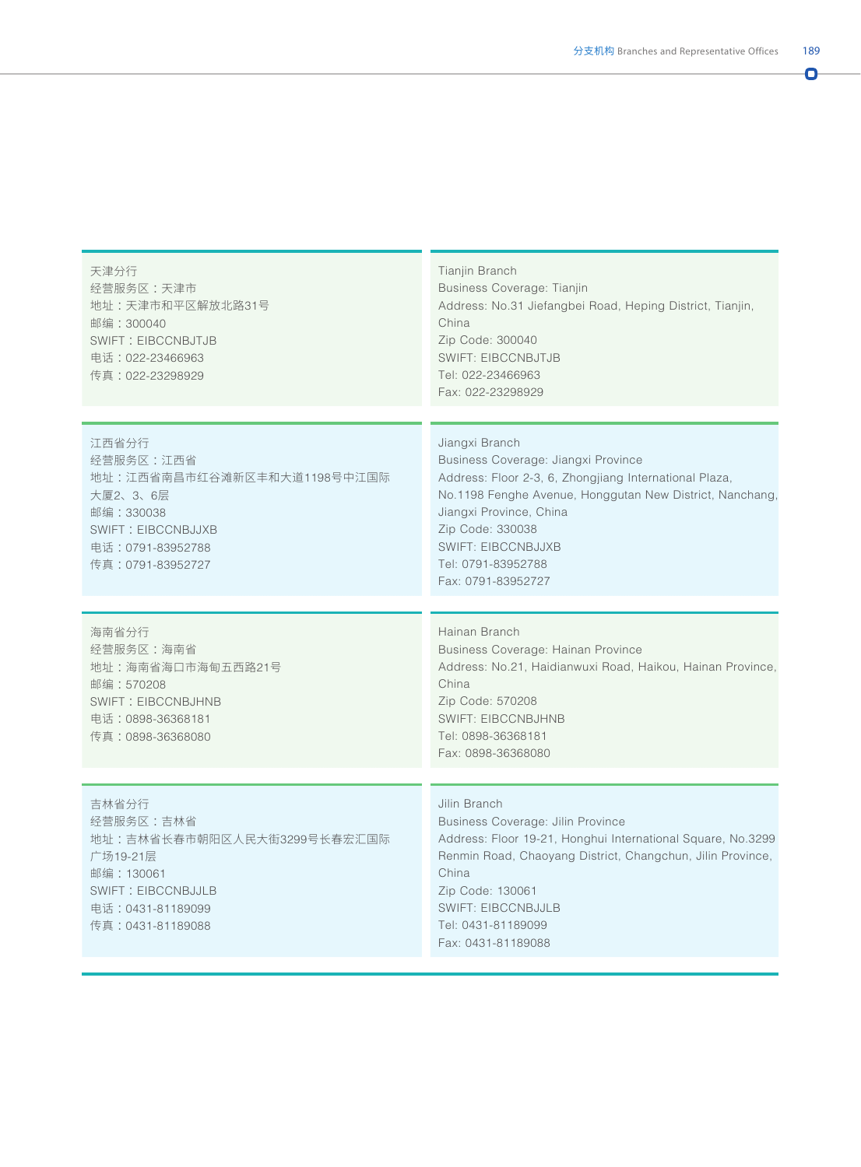| I<br>$\sim$<br>., |  |
|-------------------|--|
|                   |  |
|                   |  |

| 天津分行<br>经营服务区:天津市<br>地址:天津市和平区解放北路31号<br>邮编: 300040<br><b>SWIFT: EIBCCNBJTJB</b><br>电话: 022-23466963<br>传真:022-23298929                           | Tianjin Branch<br>Business Coverage: Tianjin<br>Address: No.31 Jiefangbei Road, Heping District, Tianjin,<br>China<br>Zip Code: 300040<br><b>SWIFT: EIBCCNBJTJB</b><br>Tel: 022-23466963<br>Fax: 022-23298929                                                                                       |
|---------------------------------------------------------------------------------------------------------------------------------------------------|-----------------------------------------------------------------------------------------------------------------------------------------------------------------------------------------------------------------------------------------------------------------------------------------------------|
| 江西省分行<br>经营服务区:江西省<br>地址:江西省南昌市红谷滩新区丰和大道1198号中江国际<br>大厦2、3、6层<br>邮编: 330038<br><b>SWIFT: EIBCCNBJJXB</b><br>电话:0791-83952788<br>传真:0791-83952727  | Jiangxi Branch<br>Business Coverage: Jiangxi Province<br>Address: Floor 2-3, 6, Zhongjiang International Plaza,<br>No.1198 Fenghe Avenue, Honggutan New District, Nanchang,<br>Jiangxi Province, China<br>Zip Code: 330038<br><b>SWIFT: EIBCCNBJJXB</b><br>Tel: 0791-83952788<br>Fax: 0791-83952727 |
| 海南省分行<br>经营服务区:海南省<br>地址:海南省海口市海甸五西路21号<br>邮编:570208<br><b>SWIFT: EIBCCNBJHNB</b><br>电话:0898-36368181<br>传真: 0898-36368080                        | Hainan Branch<br>Business Coverage: Hainan Province<br>Address: No.21, Haidianwuxi Road, Haikou, Hainan Province,<br>China<br>Zip Code: 570208<br><b>SWIFT: EIBCCNBJHNB</b><br>Tel: 0898-36368181<br>Fax: 0898-36368080                                                                             |
| 吉林省分行<br>经营服务区:吉林省<br>地址:吉林省长春市朝阳区人民大街3299号长春宏汇国际<br>广场19-21层<br>邮编: 130061<br><b>SWIFT: EIBCCNBJJLB</b><br>电话: 0431-81189099<br>传真:0431-81189088 | Jilin Branch<br><b>Business Coverage: Jilin Province</b><br>Address: Floor 19-21, Honghui International Square, No.3299<br>Renmin Road, Chaoyang District, Changchun, Jilin Province,<br>China<br>Zip Code: 130061<br><b>SWIFT: EIBCCNBJJLB</b><br>Tel: 0431-81189099<br>Fax: 0431-81189088         |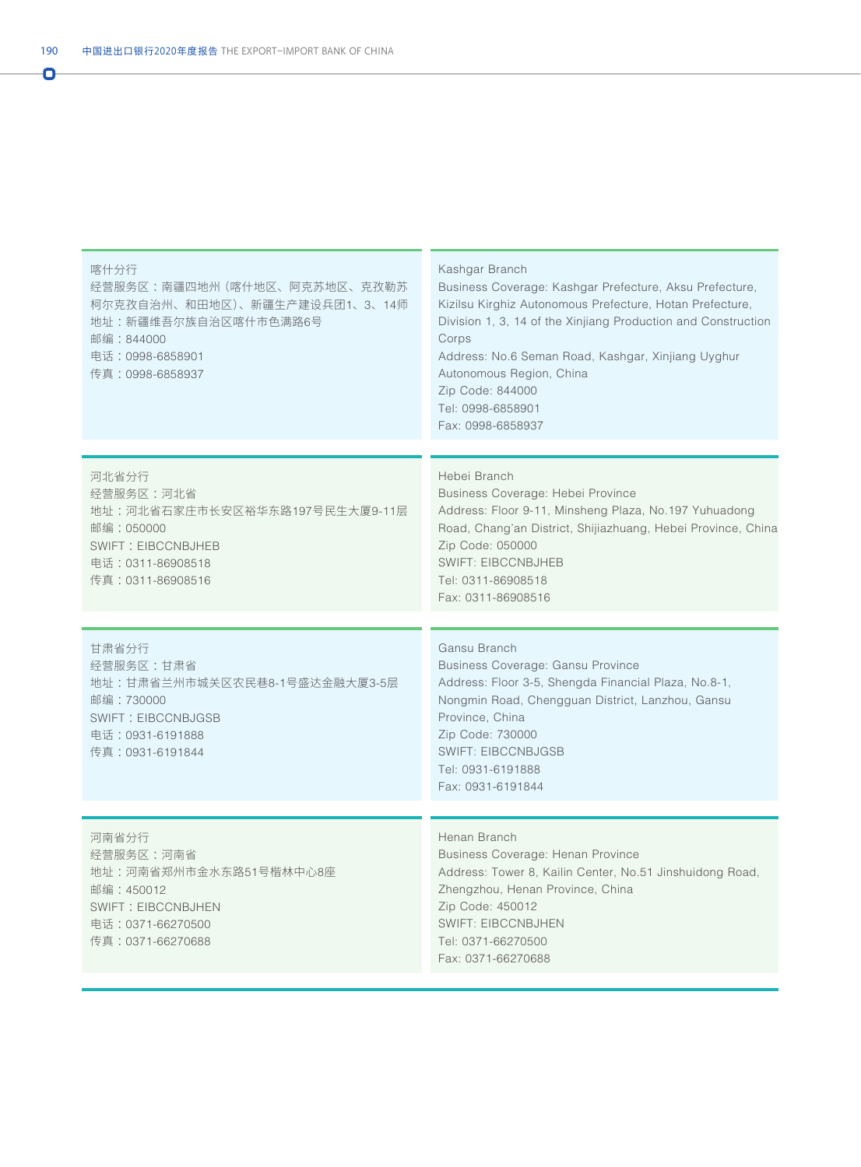Ō

| 喀什分行<br>经营服务区:南疆四地州 (喀什地区、阿克苏地区、克孜勒苏<br>柯尔克孜自治州、和田地区)、新疆生产建设兵团1、3、14师<br>地址:新疆维吾尔族自治区喀什市色满路6号<br>邮编:844000<br>电话: 0998-6858901<br>传真:0998-6858937 | Kashgar Branch<br>Business Coverage: Kashgar Prefecture, Aksu Prefecture,<br>Kizilsu Kirghiz Autonomous Prefecture, Hotan Prefecture,<br>Division 1, 3, 14 of the Xinjiang Production and Construction<br>Corps<br>Address: No.6 Seman Road, Kashgar, Xinjiang Uyghur<br>Autonomous Region, China<br>Zip Code: 844000<br>Tel: 0998-6858901<br>Fax: 0998-6858937 |
|---------------------------------------------------------------------------------------------------------------------------------------------------|-----------------------------------------------------------------------------------------------------------------------------------------------------------------------------------------------------------------------------------------------------------------------------------------------------------------------------------------------------------------|
| 河北省分行<br>经营服务区:河北省<br>地址:河北省石家庄市长安区裕华东路197号民生大厦9-11层<br>邮编: 050000<br><b>SWIFT: EIBCCNBJHEB</b><br>电话: 0311-86908518<br>传真:0311-86908516          | Hebei Branch<br>Business Coverage: Hebei Province<br>Address: Floor 9-11, Minsheng Plaza, No.197 Yuhuadong<br>Road, Chang'an District, Shijiazhuang, Hebei Province, China<br>Zip Code: 050000<br><b>SWIFT: EIBCCNBJHEB</b><br>Tel: 0311-86908518<br>Fax: 0311-86908516                                                                                         |
| 甘肃省分行<br>经营服务区:甘肃省<br>地址:甘肃省兰州市城关区农民巷8-1号盛达金融大厦3-5层<br>邮编:730000<br><b>SWIFT: EIBCCNBJGSB</b><br>电话: 0931-6191888<br>传真:0931-6191844              | Gansu Branch<br>Business Coverage: Gansu Province<br>Address: Floor 3-5, Shengda Financial Plaza, No.8-1,<br>Nongmin Road, Chengguan District, Lanzhou, Gansu<br>Province, China<br>Zip Code: 730000<br><b>SWIFT: EIBCCNBJGSB</b><br>Tel: 0931-6191888<br>Fax: 0931-6191844                                                                                     |
| 河南省分行<br>经营服务区:河南省<br>地址:河南省郑州市金水东路51号楷林中心8座<br>邮编:450012<br><b>SWIFT: EIBCCNBJHEN</b><br>电话: 0371-66270500<br>传真:0371-66270688                   | Henan Branch<br>Business Coverage: Henan Province<br>Address: Tower 8, Kailin Center, No.51 Jinshuidong Road,<br>Zhengzhou, Henan Province, China<br>Zip Code: 450012<br><b>SWIFT: EIBCCNBJHEN</b><br>Tel: 0371-66270500<br>Fax: 0371-66270688                                                                                                                  |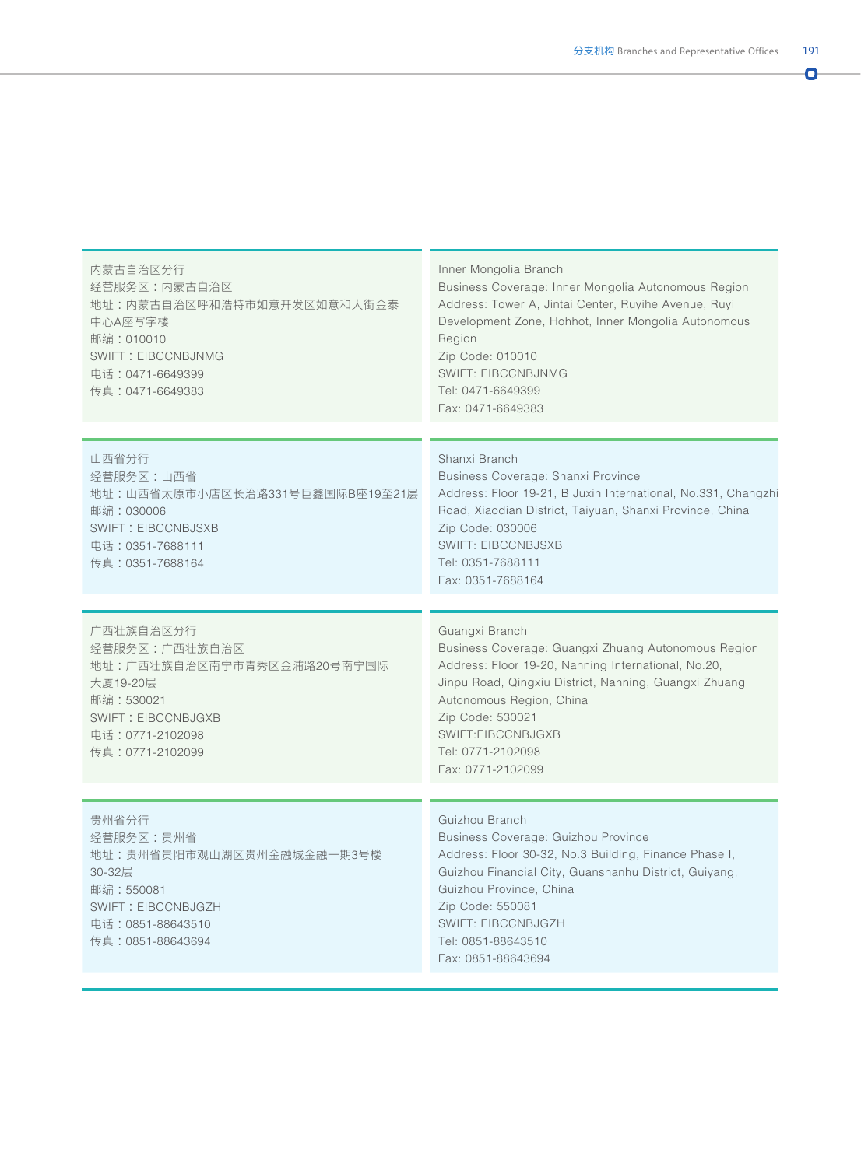| × | ۰. | I |  |
|---|----|---|--|
|   |    |   |  |
|   |    |   |  |
|   |    |   |  |

| 内蒙古自治区分行<br>经营服务区:内蒙古自治区<br>地址:内蒙古自治区呼和浩特市如意开发区如意和大街金泰<br>中心A座写字楼<br>邮编: 010010<br><b>SWIFT: EIBCCNBJNMG</b><br>电话: 0471-6649399<br>传真: 0471-6649383 | Inner Mongolia Branch<br>Business Coverage: Inner Mongolia Autonomous Region<br>Address: Tower A, Jintai Center, Ruyihe Avenue, Ruyi<br>Development Zone, Hohhot, Inner Mongolia Autonomous<br>Region<br>Zip Code: 010010<br><b>SWIFT: EIBCCNBJNMG</b><br>Tel: 0471-6649399<br>Fax: 0471-6649383     |
|------------------------------------------------------------------------------------------------------------------------------------------------------|------------------------------------------------------------------------------------------------------------------------------------------------------------------------------------------------------------------------------------------------------------------------------------------------------|
| 山西省分行<br>经营服务区:山西省<br>地址:山西省太原市小店区长治路331号巨鑫国际B座19至21层<br>邮编: 030006<br><b>SWIFT: EIBCCNBJSXB</b><br>电话:0351-7688111<br>传真: 0351-7688164              | Shanxi Branch<br>Business Coverage: Shanxi Province<br>Address: Floor 19-21, B Juxin International, No.331, Changzhi<br>Road, Xiaodian District, Taiyuan, Shanxi Province, China<br>Zip Code: 030006<br><b>SWIFT: EIBCCNBJSXB</b><br>Tel: 0351-7688111<br>Fax: 0351-7688164                          |
| 广西壮族自治区分行<br>经营服务区:广西壮族自治区<br>地址:广西壮族自治区南宁市青秀区金浦路20号南宁国际<br>大厦19-20层<br>邮编: 530021<br>SWIFT: EIBCCNBJGXB<br>电话: 0771-2102098<br>传真:0771-2102099      | Guangxi Branch<br>Business Coverage: Guangxi Zhuang Autonomous Region<br>Address: Floor 19-20, Nanning International, No.20,<br>Jinpu Road, Qingxiu District, Nanning, Guangxi Zhuang<br>Autonomous Region, China<br>Zip Code: 530021<br>SWIFT:EIBCCNBJGXB<br>Tel: 0771-2102098<br>Fax: 0771-2102099 |
| 贵州省分行<br>经营服务区:贵州省<br>地址:贵州省贵阳市观山湖区贵州金融城金融一期3号楼<br>30-32层<br>邮编:550081<br>SWIFT: EIBCCNBJGZH<br>电话:0851-88643510<br>传真:0851-88643694                 | Guizhou Branch<br>Business Coverage: Guizhou Province<br>Address: Floor 30-32, No.3 Building, Finance Phase I,<br>Guizhou Financial City, Guanshanhu District, Guiyang,<br>Guizhou Province, China<br>Zip Code: 550081<br><b>SWIFT: EIBCCNBJGZH</b><br>Tel: 0851-88643510<br>Fax: 0851-88643694      |